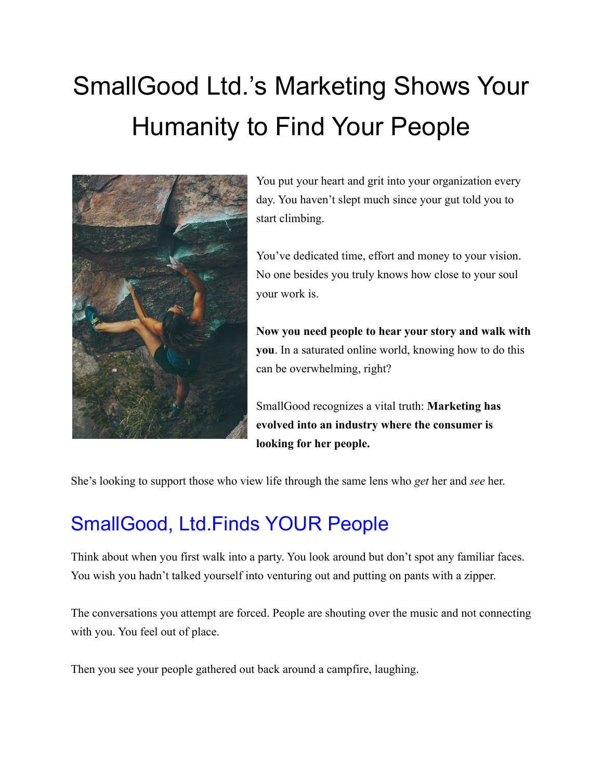# SmallGood Ltd.'s Marketing Shows Your Humanity to Find Your People



You put your heart and grit into your organization every day. You haven't slept much since your gut told you to start climbing.

You've dedicated time, effort and money to your vision. No one besides you truly knows how close to your soul your work is.

**Now you need people to hear your story and walk with you**. In a saturated online world, knowing how to do this can be overwhelming, right?

SmallGood recognizes a vital truth: **Marketing has evolved into an industry where the consumer is looking for her people.**

She's looking to support those who view life through the same lens who *get* her and *see* her.

# SmallGood, Ltd.Finds YOUR People

Think about when you first walk into a party. You look around but don't spot any familiar faces. You wish you hadn't talked yourself into venturing out and putting on pants with a zipper.

The conversations you attempt are forced. People are shouting over the music and not connecting with you. You feel out of place.

Then you see your people gathered out back around a campfire, laughing.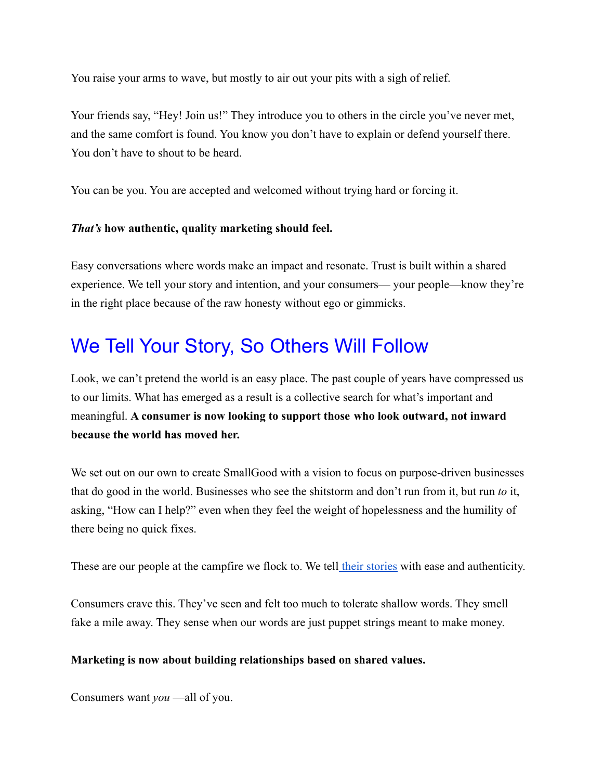You raise your arms to wave, but mostly to air out your pits with a sigh of relief.

Your friends say, "Hey! Join us!" They introduce you to others in the circle you've never met, and the same comfort is found. You know you don't have to explain or defend yourself there. You don't have to shout to be heard.

You can be you. You are accepted and welcomed without trying hard or forcing it.

### *That's* **how authentic, quality marketing should feel.**

Easy conversations where words make an impact and resonate. Trust is built within a shared experience. We tell your story and intention, and your consumers— your people—know they're in the right place because of the raw honesty without ego or gimmicks.

### We Tell Your Story, So Others Will Follow

Look, we can't pretend the world is an easy place. The past couple of years have compressed us to our limits. What has emerged as a result is a collective search for what's important and meaningful. **A consumer is now looking to support those who look outward, not inward because the world has moved her.**

We set out on our own to create SmallGood with a vision to focus on purpose-driven businesses that do good in the world. Businesses who see the shitstorm and don't run from it, but run *to* it, asking, "How can I help?" even when they feel the weight of hopelessness and the humility of there being no quick fixes.

These are our people at the campfire we flock to. We tell [their stories](https://www.wearesmallgood.com/work) with ease and authenticity.

Consumers crave this. They've seen and felt too much to tolerate shallow words. They smell fake a mile away. They sense when our words are just puppet strings meant to make money.

#### **Marketing is now about building relationships based on shared values.**

Consumers want *you* —all of you.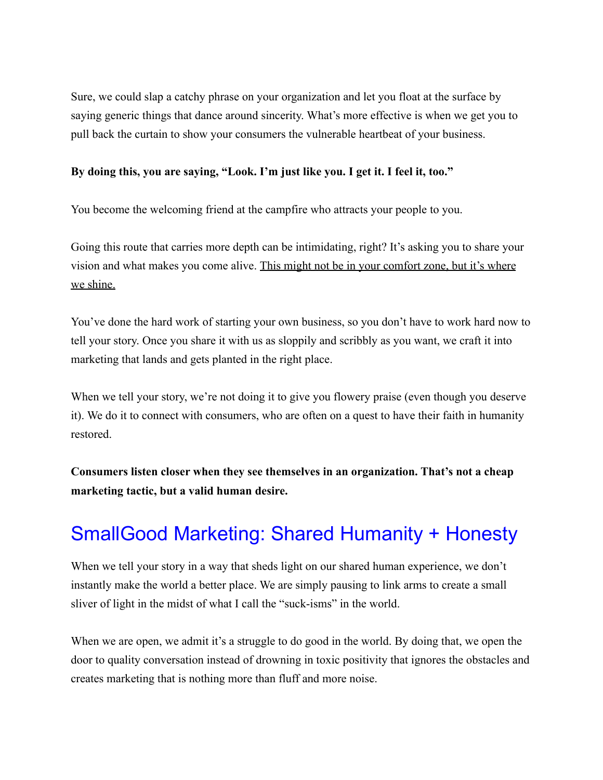Sure, we could slap a catchy phrase on your organization and let you float at the surface by saying generic things that dance around sincerity. What's more effective is when we get you to pull back the curtain to show your consumers the vulnerable heartbeat of your business.

#### **By doing this, you are saying, "Look. I'm just like you. I get it. I feel it, too."**

You become the welcoming friend at the campfire who attracts your people to you.

Going this route that carries more depth can be intimidating, right? It's asking you to share your vision and what makes you come alive. This might not be in your comfort zone, but it's where we shine.

You've done the hard work of starting your own business, so you don't have to work hard now to tell your story. Once you share it with us as sloppily and scribbly as you want, we craft it into marketing that lands and gets planted in the right place.

When we tell your story, we're not doing it to give you flowery praise (even though you deserve it). We do it to connect with consumers, who are often on a quest to have their faith in humanity restored.

**Consumers listen closer when they see themselves in an organization. That's not a cheap marketing tactic, but a valid human desire.**

# SmallGood Marketing: Shared Humanity + Honesty

When we tell your story in a way that sheds light on our shared human experience, we don't instantly make the world a better place. We are simply pausing to link arms to create a small sliver of light in the midst of what I call the "suck-isms" in the world.

When we are open, we admit it's a struggle to do good in the world. By doing that, we open the door to quality conversation instead of drowning in toxic positivity that ignores the obstacles and creates marketing that is nothing more than fluff and more noise.